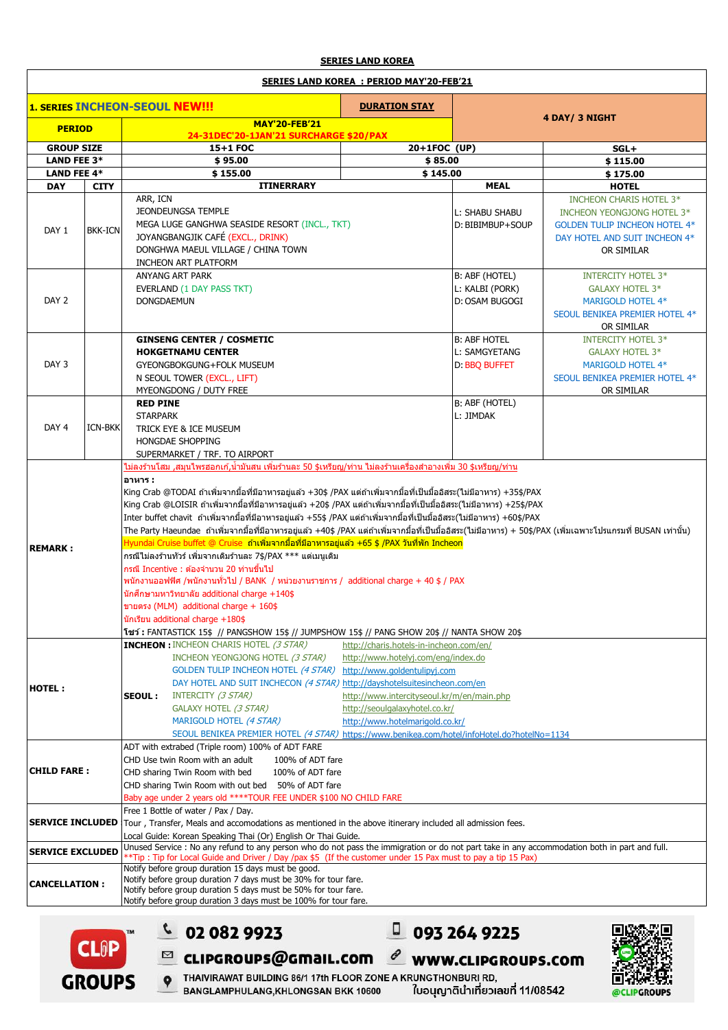## **SERIES LAND KOREA**

## **SERIES LAND KOREA : PERIOD MAY'20-FEB'21**

| <b>1. SERIES INCHEON-SEOUL NEW!!!</b> |                                                                                                                                                    |                                                                                                                                                                                                                                                                                                                                                                                                                                                                                                                                                                                                                                                                                                                                                                                                                                                                                                                                                                                                                                                                                                                                                                                                                                          |                                                     |                                                                                                                          |                                                                                                                                              |  |  |
|---------------------------------------|----------------------------------------------------------------------------------------------------------------------------------------------------|------------------------------------------------------------------------------------------------------------------------------------------------------------------------------------------------------------------------------------------------------------------------------------------------------------------------------------------------------------------------------------------------------------------------------------------------------------------------------------------------------------------------------------------------------------------------------------------------------------------------------------------------------------------------------------------------------------------------------------------------------------------------------------------------------------------------------------------------------------------------------------------------------------------------------------------------------------------------------------------------------------------------------------------------------------------------------------------------------------------------------------------------------------------------------------------------------------------------------------------|-----------------------------------------------------|--------------------------------------------------------------------------------------------------------------------------|----------------------------------------------------------------------------------------------------------------------------------------------|--|--|
|                                       |                                                                                                                                                    | <b>DURATION STAY</b><br><b>MAY'20-FEB'21</b>                                                                                                                                                                                                                                                                                                                                                                                                                                                                                                                                                                                                                                                                                                                                                                                                                                                                                                                                                                                                                                                                                                                                                                                             |                                                     | 4 DAY/ 3 NIGHT                                                                                                           |                                                                                                                                              |  |  |
| <b>PERIOD</b>                         |                                                                                                                                                    | 24-31DEC'20-1JAN'21 SURCHARGE \$20/PAX                                                                                                                                                                                                                                                                                                                                                                                                                                                                                                                                                                                                                                                                                                                                                                                                                                                                                                                                                                                                                                                                                                                                                                                                   |                                                     |                                                                                                                          |                                                                                                                                              |  |  |
| <b>GROUP SIZE</b>                     |                                                                                                                                                    | 15+1 FOC                                                                                                                                                                                                                                                                                                                                                                                                                                                                                                                                                                                                                                                                                                                                                                                                                                                                                                                                                                                                                                                                                                                                                                                                                                 | $20+1FOC$ (UP)                                      |                                                                                                                          | $SGL+$                                                                                                                                       |  |  |
| <b>LAND FEE 3*</b>                    |                                                                                                                                                    | \$95.00                                                                                                                                                                                                                                                                                                                                                                                                                                                                                                                                                                                                                                                                                                                                                                                                                                                                                                                                                                                                                                                                                                                                                                                                                                  | \$85.00                                             |                                                                                                                          | \$115.00                                                                                                                                     |  |  |
| <b>LAND FEE 4*</b>                    |                                                                                                                                                    | \$155.00                                                                                                                                                                                                                                                                                                                                                                                                                                                                                                                                                                                                                                                                                                                                                                                                                                                                                                                                                                                                                                                                                                                                                                                                                                 | \$145.00                                            |                                                                                                                          | \$175.00                                                                                                                                     |  |  |
| <b>DAY</b>                            | <b>CITY</b>                                                                                                                                        | <b>ITINERRARY</b>                                                                                                                                                                                                                                                                                                                                                                                                                                                                                                                                                                                                                                                                                                                                                                                                                                                                                                                                                                                                                                                                                                                                                                                                                        |                                                     | <b>MEAL</b>                                                                                                              | <b>HOTEL</b>                                                                                                                                 |  |  |
| DAY 1                                 | <b>BKK-ICN</b>                                                                                                                                     | ARR, ICN<br>JEONDEUNGSA TEMPLE<br>MEGA LUGE GANGHWA SEASIDE RESORT (INCL., TKT)<br>JOYANGBANGJIK CAFÉ (EXCL., DRINK)<br>DONGHWA MAEUL VILLAGE / CHINA TOWN<br><b>INCHEON ART PLATFORM</b>                                                                                                                                                                                                                                                                                                                                                                                                                                                                                                                                                                                                                                                                                                                                                                                                                                                                                                                                                                                                                                                |                                                     | L: SHABU SHABU<br>D: BIBIMBUP+SOUP                                                                                       | INCHEON CHARIS HOTEL 3*<br>INCHEON YEONGJONG HOTEL 3*<br><b>GOLDEN TULIP INCHEON HOTEL 4*</b><br>DAY HOTEL AND SUIT INCHEON 4*<br>OR SIMILAR |  |  |
| DAY <sub>2</sub>                      |                                                                                                                                                    | ANYANG ART PARK<br><b>EVERLAND (1 DAY PASS TKT)</b><br><b>DONGDAEMUN</b>                                                                                                                                                                                                                                                                                                                                                                                                                                                                                                                                                                                                                                                                                                                                                                                                                                                                                                                                                                                                                                                                                                                                                                 | B: ABF (HOTEL)<br>L: KALBI (PORK)<br>D: OSAM BUGOGI | <b>INTERCITY HOTEL 3*</b><br><b>GALAXY HOTEL 3*</b><br>MARIGOLD HOTEL 4*<br>SEOUL BENIKEA PREMIER HOTEL 4*<br>OR SIMILAR |                                                                                                                                              |  |  |
| DAY <sub>3</sub>                      | <b>GINSENG CENTER / COSMETIC</b><br><b>HOKGETNAMU CENTER</b><br>GYEONGBOKGUNG+FOLK MUSEUM<br>N SEOUL TOWER (EXCL., LIFT)<br>MYEONGDONG / DUTY FREE |                                                                                                                                                                                                                                                                                                                                                                                                                                                                                                                                                                                                                                                                                                                                                                                                                                                                                                                                                                                                                                                                                                                                                                                                                                          |                                                     | <b>B: ABF HOTEL</b><br>L: SAMGYETANG<br>D: BBQ BUFFET                                                                    | <b>INTERCITY HOTEL 3*</b><br><b>GALAXY HOTEL 3*</b><br><b>MARIGOLD HOTEL 4*</b><br>SEOUL BENIKEA PREMIER HOTEL 4*<br>OR SIMILAR              |  |  |
| DAY <sub>4</sub>                      | <b>ICN-BKK</b>                                                                                                                                     | <b>RED PINE</b><br><b>STARPARK</b><br>TRICK EYE & ICE MUSEUM<br><b>HONGDAE SHOPPING</b><br>SUPERMARKET / TRF. TO AIRPORT                                                                                                                                                                                                                                                                                                                                                                                                                                                                                                                                                                                                                                                                                                                                                                                                                                                                                                                                                                                                                                                                                                                 | B: ABF (HOTEL)<br>L: JIMDAK                         |                                                                                                                          |                                                                                                                                              |  |  |
| <b>REMARK:</b>                        |                                                                                                                                                    | <u>ไม่ลงร้านโสม ,สมนไพรฮอกเก้,น้ำมันสน เพิ่มร้านละ 50 \$เหรียญ/ท่าน ไม่ลงร้านเครื่องสำอางเพิ่ม 30 \$เหรียญ/ท่าน</u><br>อาหาร :<br> King Crab @TODAI ถ้าเพิ่มจากมื้อที่มีอาหารอยู่แล้ว +30\$ /PAX แต่ถ้าเพิ่มจากมื้อที่เป็นมื้ออิสระ(ไม่มีอาหาร) +35\$/PAX<br>King Crab @LOISIR ถ้าเพิ่มจากมื้อที่มีอาหารอยู่แล้ว +20\$ /PAX แต่ถ้าเพิ่มจากมื้อที่เป็นมื้ออิสระ(ไม่มีอาหาร) +25\$/PAX<br>Inter buffet chavit  ถ้าเพิ่มจากมื้อที่มีอาหารอยู่แล้ว +55\$ /PAX แต่ถ้าเพิ่มจากมื้อที่เป็นมื้ออิสระ(ไม่มีอาหาร) +60\$/PAX<br>The Party Haeundae  ถ้าเพิ่มจากมื้อที่มีอาหารอยู่แล้ว +40\$ /PAX แต่ถ้าเพิ่มจากมื้อที่เป็นมื้ออิสระ(ไม่มีอาหาร) + 50\$/PAX (เพิ่มเฉพาะโปรแกรมที่ BUSAN เท่านั้น)<br>Hyundai Cruise buffet @ Cruise  ถ้าเพิ่มจากมื้อที่มีอาหารอยู่แล้ว +65 \$ /PAX วันที่พัก Incheon<br>กรณีไม่ลงร้านทัวร์ เพิ่มจากเดิมร้านละ 7\$/PAX *** แต่เมนเดิม<br>กรณี Incentive : ต้องจำนวน 20 ท่านขึ้นไป<br>พนักงานออฟฟิศ /พนักงานทั่วไป / BANK / หน่วยงานราชการ / additional charge + 40 \$ / PAX<br>นักศึกษามหาวิทยาลัย additional charge $+140$ \$<br>ขายตรง (MLM) additional charge + 160\$<br>นักเรียน additional charge +180\$<br><b>โขว์: FANTASTICK 15\$ // PANGSHOW 15\$ // JUMPSHOW 15\$ // PANG SHOW 20\$ // NANTA SHOW 20\$</b> |                                                     |                                                                                                                          |                                                                                                                                              |  |  |
| HOTEL:                                |                                                                                                                                                    | <b>INCHEON : INCHEON CHARIS HOTEL (3 STAR)</b><br>http://charis.hotels-in-incheon.com/en/<br>INCHEON YEONGJONG HOTEL (3 STAR)<br>http://www.hotelyj.com/eng/index.do<br>GOLDEN TULIP INCHEON HOTEL (4 STAR) http://www.goldentulipyj.com<br>DAY HOTEL AND SUIT INCHECON (4 STAR) http://dayshotelsuitesincheon.com/en<br>INTERCITY (3 STAR)<br>http://www.intercityseoul.kr/m/en/main.php<br><b>SEOUL:</b><br>GALAXY HOTEL (3 STAR)<br>http://seoulgalaxyhotel.co.kr/<br>MARIGOLD HOTEL (4 STAR)<br>http://www.hotelmarigold.co.kr/<br>SEOUL BENIKEA PREMIER HOTEL (4 STAR) https://www.benikea.com/hotel/infoHotel.do?hotelNo=1134                                                                                                                                                                                                                                                                                                                                                                                                                                                                                                                                                                                                      |                                                     |                                                                                                                          |                                                                                                                                              |  |  |
| <b>CHILD FARE:</b>                    |                                                                                                                                                    | ADT with extrabed (Triple room) 100% of ADT FARE<br>CHD Use twin Room with an adult<br>100% of ADT fare<br>CHD sharing Twin Room with bed<br>100% of ADT fare<br>CHD sharing Twin Room with out bed 50% of ADT fare<br>Baby age under 2 years old **** TOUR FEE UNDER \$100 NO CHILD FARE<br>Free 1 Bottle of water / Pax / Day.                                                                                                                                                                                                                                                                                                                                                                                                                                                                                                                                                                                                                                                                                                                                                                                                                                                                                                         |                                                     |                                                                                                                          |                                                                                                                                              |  |  |
| <b>SERVICE INCLUDED</b>               |                                                                                                                                                    | Tour, Transfer, Meals and accomodations as mentioned in the above itinerary included all admission fees.<br>Local Guide: Korean Speaking Thai (Or) English Or Thai Guide.                                                                                                                                                                                                                                                                                                                                                                                                                                                                                                                                                                                                                                                                                                                                                                                                                                                                                                                                                                                                                                                                |                                                     |                                                                                                                          |                                                                                                                                              |  |  |
| <b>SERVICE EXCLUDED</b>               |                                                                                                                                                    | Unused Service : No any refund to any person who do not pass the immigration or do not part take in any accommodation both in part and full.<br>**Tip: Tip for Local Guide and Driver / Day /pax \$5 (If the customer under 15 Pax must to pay a tip 15 Pax)                                                                                                                                                                                                                                                                                                                                                                                                                                                                                                                                                                                                                                                                                                                                                                                                                                                                                                                                                                             |                                                     |                                                                                                                          |                                                                                                                                              |  |  |
| <b>CANCELLATION:</b>                  |                                                                                                                                                    | Notify before group duration 15 days must be good.<br>Notify before group duration 7 days must be 30% for tour fare.<br>Notify before group duration 5 days must be 50% for tour fare.<br>Notify before group duration 3 days must be 100% for tour fare.                                                                                                                                                                                                                                                                                                                                                                                                                                                                                                                                                                                                                                                                                                                                                                                                                                                                                                                                                                                |                                                     |                                                                                                                          |                                                                                                                                              |  |  |





 $C$  02 082 9923

 $\boxtimes$ 

 $\bullet$ 

 $0932649225$ 



THAIVIRAWAT BUILDING 86/1 17th FLOOR ZONE A KRUNGTHONBURI RD, BANGLAMPHULANG, KHLONGSAN BKK 10600

ใบอนุญาตินำเที่ยวเลขที่ 11/08542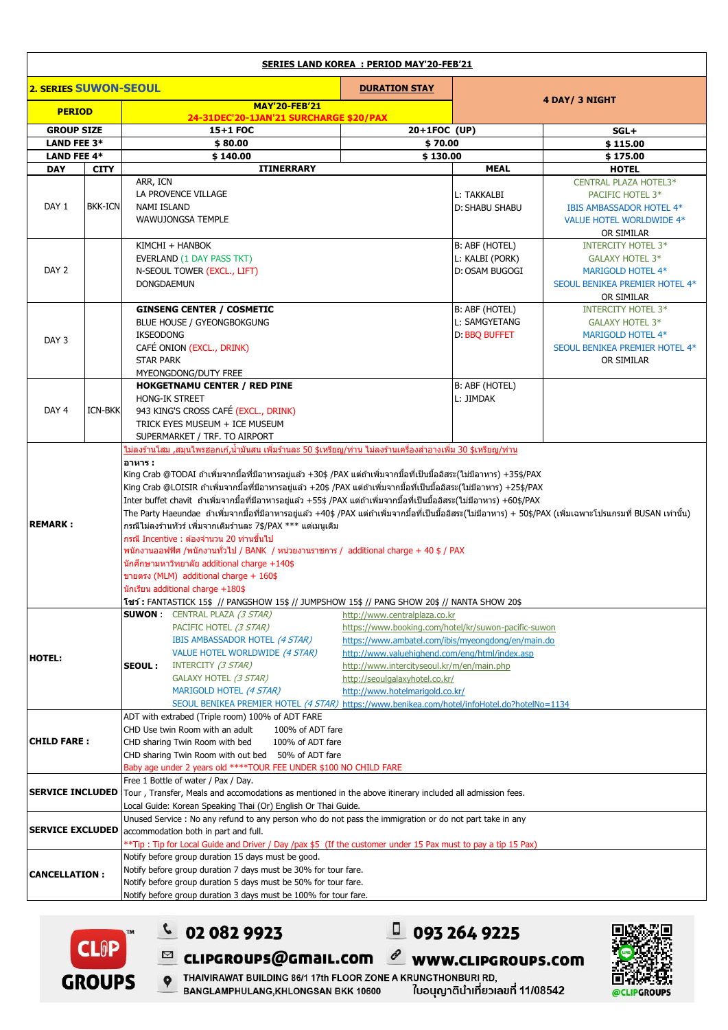| <b>SERIES LAND KOREA : PERIOD MAY'20-FEB'21</b> |                |                                                                                                                                                                                                                                                                                                |                   |                                                      |                               |                                                     |  |  |
|-------------------------------------------------|----------------|------------------------------------------------------------------------------------------------------------------------------------------------------------------------------------------------------------------------------------------------------------------------------------------------|-------------------|------------------------------------------------------|-------------------------------|-----------------------------------------------------|--|--|
| 2. SERIES SUWON-SEOUL                           |                | <b>DURATION STAY</b>                                                                                                                                                                                                                                                                           |                   |                                                      |                               |                                                     |  |  |
| <b>PERIOD</b>                                   |                | <b>MAY'20-FEB'21</b>                                                                                                                                                                                                                                                                           |                   | 4 DAY/ 3 NIGHT                                       |                               |                                                     |  |  |
| <b>GROUP SIZE</b>                               |                | 24-31DEC'20-1JAN'21 SURCHARGE \$20/PAX<br>15+1 FOC                                                                                                                                                                                                                                             |                   | 20+1FOC (UP)                                         |                               | $SGL+$                                              |  |  |
| <b>LAND FEE 3*</b>                              |                | \$80.00                                                                                                                                                                                                                                                                                        |                   | \$70.00                                              |                               | \$115.00                                            |  |  |
| <b>LAND FEE 4*</b>                              |                | \$140.00                                                                                                                                                                                                                                                                                       |                   | \$130.00                                             | \$175.00                      |                                                     |  |  |
| <b>DAY</b>                                      | <b>CITY</b>    |                                                                                                                                                                                                                                                                                                | <b>ITINERRARY</b> |                                                      | <b>MEAL</b>                   | <b>HOTEL</b>                                        |  |  |
| DAY 1                                           |                | ARR, ICN<br>LA PROVENCE VILLAGE                                                                                                                                                                                                                                                                |                   |                                                      |                               | CENTRAL PLAZA HOTEL3*                               |  |  |
|                                                 | <b>BKK-ICN</b> | NAMI ISLAND                                                                                                                                                                                                                                                                                    |                   |                                                      | L: TAKKALBI<br>D: SHABU SHABU | PACIFIC HOTEL 3*<br><b>IBIS AMBASSADOR HOTEL 4*</b> |  |  |
|                                                 |                | WAWUJONGSA TEMPLE                                                                                                                                                                                                                                                                              |                   |                                                      |                               | VALUE HOTEL WORLDWIDE 4*                            |  |  |
|                                                 |                |                                                                                                                                                                                                                                                                                                |                   |                                                      |                               | OR SIMILAR                                          |  |  |
|                                                 |                | KIMCHI + HANBOK                                                                                                                                                                                                                                                                                |                   |                                                      | B: ABF (HOTEL)                | <b>INTERCITY HOTEL 3*</b>                           |  |  |
|                                                 |                | EVERLAND (1 DAY PASS TKT)                                                                                                                                                                                                                                                                      |                   |                                                      | L: KALBI (PORK)               | GALAXY HOTEL 3*                                     |  |  |
| DAY 2                                           |                | N-SEOUL TOWER (EXCL., LIFT)<br>DONGDAEMUN                                                                                                                                                                                                                                                      |                   |                                                      | D: OSAM BUGOGI                | MARIGOLD HOTEL 4*                                   |  |  |
|                                                 |                |                                                                                                                                                                                                                                                                                                |                   |                                                      |                               | SEOUL BENIKEA PREMIER HOTEL 4*<br>OR SIMILAR        |  |  |
|                                                 |                | <b>GINSENG CENTER / COSMETIC</b>                                                                                                                                                                                                                                                               |                   |                                                      | B: ABF (HOTEL)                | <b>INTERCITY HOTEL 3*</b>                           |  |  |
|                                                 |                | BLUE HOUSE / GYEONGBOKGUNG                                                                                                                                                                                                                                                                     |                   |                                                      | L: SAMGYETANG                 | GALAXY HOTEL 3*                                     |  |  |
| DAY 3                                           |                | <b>IKSEODONG</b>                                                                                                                                                                                                                                                                               |                   |                                                      | D: BBQ BUFFET                 | MARIGOLD HOTEL 4*                                   |  |  |
|                                                 |                | CAFÉ ONION (EXCL., DRINK)                                                                                                                                                                                                                                                                      |                   |                                                      |                               | SEOUL BENIKEA PREMIER HOTEL 4*                      |  |  |
|                                                 |                | <b>STAR PARK</b><br>MYEONGDONG/DUTY FREE                                                                                                                                                                                                                                                       |                   |                                                      |                               | OR SIMILAR                                          |  |  |
|                                                 |                | <b>HOKGETNAMU CENTER / RED PINE</b>                                                                                                                                                                                                                                                            |                   |                                                      | B: ABF (HOTEL)                |                                                     |  |  |
|                                                 |                | <b>HONG-IK STREET</b>                                                                                                                                                                                                                                                                          |                   |                                                      | L: JIMDAK                     |                                                     |  |  |
| DAY <sub>4</sub>                                | <b>ICN-BKK</b> | 943 KING'S CROSS CAFÉ (EXCL., DRINK)                                                                                                                                                                                                                                                           |                   |                                                      |                               |                                                     |  |  |
|                                                 |                | TRICK EYES MUSEUM + ICE MUSEUM                                                                                                                                                                                                                                                                 |                   |                                                      |                               |                                                     |  |  |
|                                                 |                | SUPERMARKET / TRF. TO AIRPORT<br><u>ไม่ลงร้านโสม ,สมนไพรฮอกเก้,น้ำมันสน เพิ่มร้านละ 50 \$เหรียณ/ท่าน ไม่ลงร้านเครื่องสำอางเพิ่ม 30 \$เหรียญ/ท่าน</u>                                                                                                                                           |                   |                                                      |                               |                                                     |  |  |
|                                                 |                | อาหาร :                                                                                                                                                                                                                                                                                        |                   |                                                      |                               |                                                     |  |  |
|                                                 |                | King Crab @TODAI ถ้าเพิ่มจากมื้อที่มีอาหารอยู่แล้ว +30\$ /PAX แต่ถ้าเพิ่มจากมื้อที่เป็นมื้ออิสระ(ไม่มีอาหาร) +35\$/PAX                                                                                                                                                                         |                   |                                                      |                               |                                                     |  |  |
|                                                 |                | King Crab @LOISIR ถ้าเพิ่มจากมื้อที่มีอาหารอยู่แล้ว +20\$ /PAX แต่ถ้าเพิ่มจากมื้อที่เป็นมื้ออิสระ(ไม่มีอาหาร) +25\$/PAX                                                                                                                                                                        |                   |                                                      |                               |                                                     |  |  |
|                                                 |                | Inter buffet chavit  ถ้าเพิ่มจากมื้อที่มีอาหารอยู่แล้ว +55\$ /PAX แต่ถ้าเพิ่มจากมื้อที่เป็นมื้ออิสระ(ไม่มีอาหาร) +60\$/PAX<br>The Party Haeundae  ถ้าเพิ่มจากมื้อที่มีอาหารอยู่แล้ว +40\$ /PAX แต่ถ้าเพิ่มจากมื้อที่เป็นมื้ออิสระ(ไม่มีอาหาร) + 50\$/PAX (เพิ่มเฉพาะโปรแกรมที่ BUSAN เท่านั้น) |                   |                                                      |                               |                                                     |  |  |
| <b>REMARK:</b>                                  |                | กรณีไม่ลงร้านทัวร์ เพิ่มจากเดิมร้านละ 7\$/PAX *** แต่เมนเดิม                                                                                                                                                                                                                                   |                   |                                                      |                               |                                                     |  |  |
|                                                 |                | ี กรณี Incentive : ต้องจำนวน 20 ท่านขึ้นไป                                                                                                                                                                                                                                                     |                   |                                                      |                               |                                                     |  |  |
|                                                 |                | พนักงานออฟฟิศ /พนักงานทั่วไป / BANK / หน่วยงานราชการ / additional charge + 40 \$ / PAX                                                                                                                                                                                                         |                   |                                                      |                               |                                                     |  |  |
|                                                 |                | นักศึกษามหาวิทยาลัย additional charge +140\$                                                                                                                                                                                                                                                   |                   |                                                      |                               |                                                     |  |  |
|                                                 |                | ขายตรง (MLM) additional charge + 160\$<br>นักเรียน additional charge +180\$                                                                                                                                                                                                                    |                   |                                                      |                               |                                                     |  |  |
|                                                 |                | โชว์ : FANTASTICK 15\$ // PANGSHOW 15\$ // JUMPSHOW 15\$ // PANG SHOW 20\$ // NANTA SHOW 20\$                                                                                                                                                                                                  |                   |                                                      |                               |                                                     |  |  |
|                                                 |                | <b>SUWON:</b> CENTRAL PLAZA (3 STAR)                                                                                                                                                                                                                                                           |                   | http://www.centralplaza.co.kr                        |                               |                                                     |  |  |
|                                                 |                | PACIFIC HOTEL (3 STAR)                                                                                                                                                                                                                                                                         |                   | https://www.booking.com/hotel/kr/suwon-pacific-suwon |                               |                                                     |  |  |
|                                                 |                | IBIS AMBASSADOR HOTEL (4 STAR)                                                                                                                                                                                                                                                                 |                   | https://www.ambatel.com/ibis/myeongdong/en/main.do   |                               |                                                     |  |  |
| <b>HOTEL:</b>                                   |                | VALUE HOTEL WORLDWIDE (4 STAR)<br>INTERCITY (3 STAR)                                                                                                                                                                                                                                           |                   | http://www.valuehighend.com/eng/html/index.asp       |                               |                                                     |  |  |
|                                                 |                | http://www.intercityseoul.kr/m/en/main.php<br>SEOUL:<br>GALAXY HOTEL (3 STAR)<br>http://seoulgalaxyhotel.co.kr/                                                                                                                                                                                |                   |                                                      |                               |                                                     |  |  |
|                                                 |                | MARIGOLD HOTEL (4 STAR)                                                                                                                                                                                                                                                                        |                   | http://www.hotelmarigold.co.kr/                      |                               |                                                     |  |  |
|                                                 |                | SEOUL BENIKEA PREMIER HOTEL (4 STAR) https://www.benikea.com/hotel/infoHotel.do?hotelNo=1134                                                                                                                                                                                                   |                   |                                                      |                               |                                                     |  |  |
| <b>CHILD FARE:</b>                              |                | ADT with extrabed (Triple room) 100% of ADT FARE                                                                                                                                                                                                                                               |                   |                                                      |                               |                                                     |  |  |
|                                                 |                | CHD Use twin Room with an adult<br>100% of ADT fare                                                                                                                                                                                                                                            |                   |                                                      |                               |                                                     |  |  |
|                                                 |                | CHD sharing Twin Room with bed<br>100% of ADT fare<br>CHD sharing Twin Room with out bed 50% of ADT fare                                                                                                                                                                                       |                   |                                                      |                               |                                                     |  |  |
|                                                 |                | Baby age under 2 years old **** TOUR FEE UNDER \$100 NO CHILD FARE                                                                                                                                                                                                                             |                   |                                                      |                               |                                                     |  |  |
| <b>SERVICE INCLUDED</b>                         |                | Free 1 Bottle of water / Pax / Day.                                                                                                                                                                                                                                                            |                   |                                                      |                               |                                                     |  |  |
|                                                 |                | Tour, Transfer, Meals and accomodations as mentioned in the above itinerary included all admission fees.                                                                                                                                                                                       |                   |                                                      |                               |                                                     |  |  |
|                                                 |                | Local Guide: Korean Speaking Thai (Or) English Or Thai Guide.                                                                                                                                                                                                                                  |                   |                                                      |                               |                                                     |  |  |
| <b>SERVICE EXCLUDED</b>                         |                | Unused Service: No any refund to any person who do not pass the immigration or do not part take in any<br>accommodation both in part and full.                                                                                                                                                 |                   |                                                      |                               |                                                     |  |  |
|                                                 |                | **Tip: Tip for Local Guide and Driver / Day /pax \$5 (If the customer under 15 Pax must to pay a tip 15 Pax)                                                                                                                                                                                   |                   |                                                      |                               |                                                     |  |  |
|                                                 |                | Notify before group duration 15 days must be good.                                                                                                                                                                                                                                             |                   |                                                      |                               |                                                     |  |  |
| <b>CANCELLATION:</b>                            |                | Notify before group duration 7 days must be 30% for tour fare.                                                                                                                                                                                                                                 |                   |                                                      |                               |                                                     |  |  |
|                                                 |                | Notify before group duration 5 days must be 50% for tour fare.                                                                                                                                                                                                                                 |                   |                                                      |                               |                                                     |  |  |
|                                                 |                | Notify before group duration 3 days must be 100% for tour fare.                                                                                                                                                                                                                                |                   |                                                      |                               |                                                     |  |  |





 $C$  02 082 9923

 $0932649225$  $\ell$  www.clipgroups.com



P THAIVIRAWAT BUILDING 86/1 17th FLOOR ZONE A KRUNGTHONBURI RD, ใบอนุญาตินำเที่ยวเลขที่ 11/08542 BANGLAMPHULANG, KHLONGSAN BKK 10600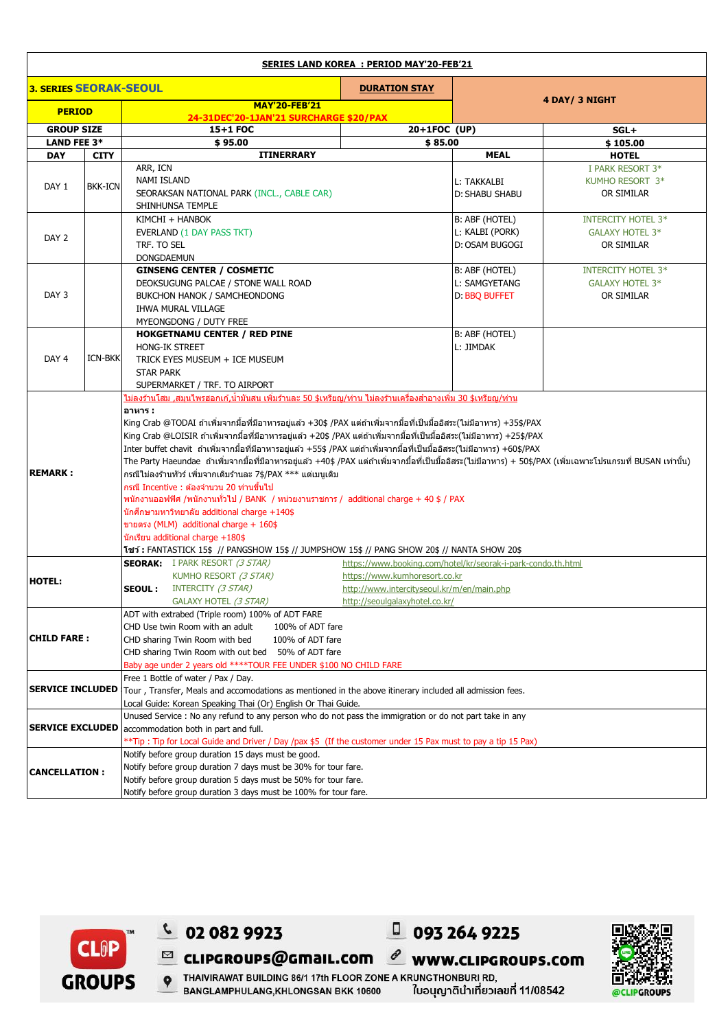| <b>SERIES LAND KOREA : PERIOD MAY'20-FEB'21</b> |                |                                                                                                                                                                  |                                            |                       |                           |  |  |
|-------------------------------------------------|----------------|------------------------------------------------------------------------------------------------------------------------------------------------------------------|--------------------------------------------|-----------------------|---------------------------|--|--|
| <b>3. SERIES SEORAK-SEOUL</b>                   |                |                                                                                                                                                                  | <b>DURATION STAY</b>                       |                       |                           |  |  |
| <b>PERIOD</b>                                   |                | <b>MAY'20-FEB'21</b><br>24-31DEC'20-1JAN'21 SURCHARGE \$20/PAX                                                                                                   |                                            | 4 DAY/ 3 NIGHT        |                           |  |  |
| <b>GROUP SIZE</b>                               |                | 15+1 FOC                                                                                                                                                         | 20+1FOC (UP)                               |                       | $SGL+$                    |  |  |
| <b>LAND FEE 3*</b>                              |                | \$95.00                                                                                                                                                          | \$85.00                                    |                       | \$105.00                  |  |  |
| <b>DAY</b>                                      | <b>CITY</b>    | <b>ITINERRARY</b>                                                                                                                                                |                                            | <b>MEAL</b>           | <b>HOTEL</b>              |  |  |
| DAY <sub>1</sub>                                | <b>BKK-ICN</b> | ARR, ICN                                                                                                                                                         |                                            |                       | I PARK RESORT 3*          |  |  |
|                                                 |                | <b>NAMI ISLAND</b>                                                                                                                                               |                                            | L: TAKKALBI           | KUMHO RESORT 3*           |  |  |
|                                                 |                | SEORAKSAN NATIONAL PARK (INCL., CABLE CAR)                                                                                                                       |                                            | <b>D: SHABU SHABU</b> | OR SIMILAR                |  |  |
|                                                 |                | SHINHUNSA TEMPLE                                                                                                                                                 |                                            |                       |                           |  |  |
|                                                 |                | KIMCHI + HANBOK                                                                                                                                                  |                                            | B: ABF (HOTEL)        | <b>INTERCITY HOTEL 3*</b> |  |  |
|                                                 |                | EVERLAND (1 DAY PASS TKT)                                                                                                                                        |                                            | L: KALBI (PORK)       | GALAXY HOTEL 3*           |  |  |
| DAY <sub>2</sub>                                |                | TRF. TO SEL                                                                                                                                                      |                                            | D: OSAM BUGOGI        | OR SIMILAR                |  |  |
|                                                 |                | DONGDAEMUN                                                                                                                                                       |                                            |                       |                           |  |  |
|                                                 |                | <b>GINSENG CENTER / COSMETIC</b>                                                                                                                                 |                                            | B: ABF (HOTEL)        | <b>INTERCITY HOTEL 3*</b> |  |  |
|                                                 |                | DEOKSUGUNG PALCAE / STONE WALL ROAD                                                                                                                              |                                            | L: SAMGYETANG         | GALAXY HOTEL 3*           |  |  |
| DAY 3                                           |                | BUKCHON HANOK / SAMCHEONDONG                                                                                                                                     |                                            | D: BBQ BUFFET         | OR SIMILAR                |  |  |
|                                                 |                | <b>IHWA MURAL VILLAGE</b>                                                                                                                                        |                                            |                       |                           |  |  |
|                                                 |                | MYEONGDONG / DUTY FREE                                                                                                                                           |                                            |                       |                           |  |  |
|                                                 |                | <b>HOKGETNAMU CENTER / RED PINE</b>                                                                                                                              |                                            | B: ABF (HOTEL)        |                           |  |  |
|                                                 |                | <b>HONG-IK STREET</b>                                                                                                                                            |                                            | L: JIMDAK             |                           |  |  |
| DAY <sub>4</sub>                                | <b>ICN-BKK</b> | TRICK EYES MUSEUM + ICE MUSEUM                                                                                                                                   |                                            |                       |                           |  |  |
|                                                 |                | <b>STAR PARK</b>                                                                                                                                                 |                                            |                       |                           |  |  |
|                                                 |                | SUPERMARKET / TRF. TO AIRPORT                                                                                                                                    |                                            |                       |                           |  |  |
|                                                 |                | ไม่ลงร้านโสม ,สมุนไพรฮอกเก้,น้ำมันสน เพิ่มร้านละ 50 \$เหรียญ/ท่าน ไม่ลงร้านเครื่องสำอางเพิ่ม 30 \$เหรียญ/ท่าน                                                    |                                            |                       |                           |  |  |
|                                                 |                | อาหาร :                                                                                                                                                          |                                            |                       |                           |  |  |
|                                                 |                | King Crab @TODAI ถ้าเพิ่มจากมื้อที่มีอาหารอยู่แล้ว +30\$ /PAX แต่ถ้าเพิ่มจากมื้อที่เป็นมื้ออิสระ(ไม่มีอาหาร) +35\$/PAX                                           |                                            |                       |                           |  |  |
|                                                 |                | King Crab @LOISIR ถ้าเพิ่มจากมื้อที่มีอาหารอยู่แล้ว +20\$ /PAX แต่ถ้าเพิ่มจากมื้อที่เป็นมื้ออิสระ(ไม่มีอาหาร) +25\$/PAX                                          |                                            |                       |                           |  |  |
|                                                 |                | Inter buffet chavit  ถ้าเพิ่มจากมื้อที่มีอาหารอยู่แล้ว +55\$ /PAX แต่ถ้าเพิ่มจากมื้อที่เป็นมื้ออิสระ(ไม่มีอาหาร) +60\$/PAX                                       |                                            |                       |                           |  |  |
|                                                 |                | The Party Haeundae  ถ้าเพิ่มจากมื้อที่มีอาหารอยู่แล้ว +40\$ /PAX แต่ถ้าเพิ่มจากมื้อที่เป็นมื้ออิสระ(ไม่มีอาหาร) + 50\$/PAX (เพิ่มเฉพาะโปรแกรมที่ BUSAN เท่านั้น) |                                            |                       |                           |  |  |
| <b>REMARK:</b>                                  |                | กรณีไม่ลงร้านทัวร์ เพิ่มจากเดิมร้านละ 7\$/PAX *** แต่เมนเดิม                                                                                                     |                                            |                       |                           |  |  |
|                                                 |                | ึกรณี Incentive : ต้องจำนวน 20 ท่านขึ้นไป                                                                                                                        |                                            |                       |                           |  |  |
|                                                 |                | พนักงานออฟฟิศ /พนักงานทั่วไป / BANK / หน่วยงานราชการ / additional charge + 40 \$ / PAX                                                                           |                                            |                       |                           |  |  |
|                                                 |                | นักศึกษามหาวิทยาลัย additional charge $+140$ \$                                                                                                                  |                                            |                       |                           |  |  |
|                                                 |                | ขายตรง (MLM) additional charge + 160\$                                                                                                                           |                                            |                       |                           |  |  |
|                                                 |                | นักเรียน additional charge +180\$                                                                                                                                |                                            |                       |                           |  |  |
|                                                 |                | โชว์: FANTASTICK 15\$ // PANGSHOW 15\$ // JUMPSHOW 15\$ // PANG SHOW 20\$ // NANTA SHOW 20\$                                                                     |                                            |                       |                           |  |  |
|                                                 |                | <b>SEORAK:</b> I PARK RESORT (3 STAR)<br>https://www.booking.com/hotel/kr/seorak-i-park-condo.th.html                                                            |                                            |                       |                           |  |  |
| <b>HOTEL:</b>                                   |                | KUMHO RESORT (3 STAR)                                                                                                                                            | https://www.kumhoresort.co.kr              |                       |                           |  |  |
|                                                 |                | <b>SEOUL:</b> INTERCITY (3 STAR)                                                                                                                                 | http://www.intercityseoul.kr/m/en/main.php |                       |                           |  |  |
|                                                 |                | GALAXY HOTEL (3 STAR)                                                                                                                                            | <u>http://seoulqalaxyhotel.co.kr/</u>      |                       |                           |  |  |
|                                                 |                | ADT with extrabed (Triple room) 100% of ADT FARE                                                                                                                 |                                            |                       |                           |  |  |
|                                                 |                | CHD Use twin Room with an adult<br>100% of ADT fare                                                                                                              |                                            |                       |                           |  |  |
| <b>CHILD FARE :</b>                             |                | CHD sharing Twin Room with bed<br>100% of ADT fare                                                                                                               |                                            |                       |                           |  |  |
|                                                 |                | CHD sharing Twin Room with out bed 50% of ADT fare                                                                                                               |                                            |                       |                           |  |  |
|                                                 |                | Baby age under 2 years old ****TOUR FEE UNDER \$100 NO CHILD FARE                                                                                                |                                            |                       |                           |  |  |
| <b>SERVICE INCLUDED</b>                         |                | Free 1 Bottle of water / Pax / Day.                                                                                                                              |                                            |                       |                           |  |  |
|                                                 |                | Tour, Transfer, Meals and accomodations as mentioned in the above itinerary included all admission fees.                                                         |                                            |                       |                           |  |  |
|                                                 |                | Local Guide: Korean Speaking Thai (Or) English Or Thai Guide.                                                                                                    |                                            |                       |                           |  |  |
|                                                 |                | Unused Service : No any refund to any person who do not pass the immigration or do not part take in any                                                          |                                            |                       |                           |  |  |
| <b>SERVICE EXCLUDED</b>                         |                | accommodation both in part and full.                                                                                                                             |                                            |                       |                           |  |  |
|                                                 |                | **Tip : Tip for Local Guide and Driver / Day /pax \$5 (If the customer under 15 Pax must to pay a tip 15 Pax)                                                    |                                            |                       |                           |  |  |
|                                                 |                | Notify before group duration 15 days must be good.                                                                                                               |                                            |                       |                           |  |  |
| <b>CANCELLATION:</b>                            |                | Notify before group duration 7 days must be 30% for tour fare.                                                                                                   |                                            |                       |                           |  |  |
|                                                 |                | Notify before group duration 5 days must be 50% for tour fare.                                                                                                   |                                            |                       |                           |  |  |
|                                                 |                | Notify before group duration 3 days must be 100% for tour fare.                                                                                                  |                                            |                       |                           |  |  |





 $\boxtimes$ cLIPGROUPS@GMaIL.COM

P THAIVIRAWAT BUILDING 86/1 17th FLOOR ZONE A KRUNGTHONBURI RD, BANGLAMPHULANG, KHLONGSAN BKK 10600

 $C$  02 082 9923

**CLOP** 

**GROUPS** 

ใบอนุญาตินำเที่ยวเลขที่ 11/08542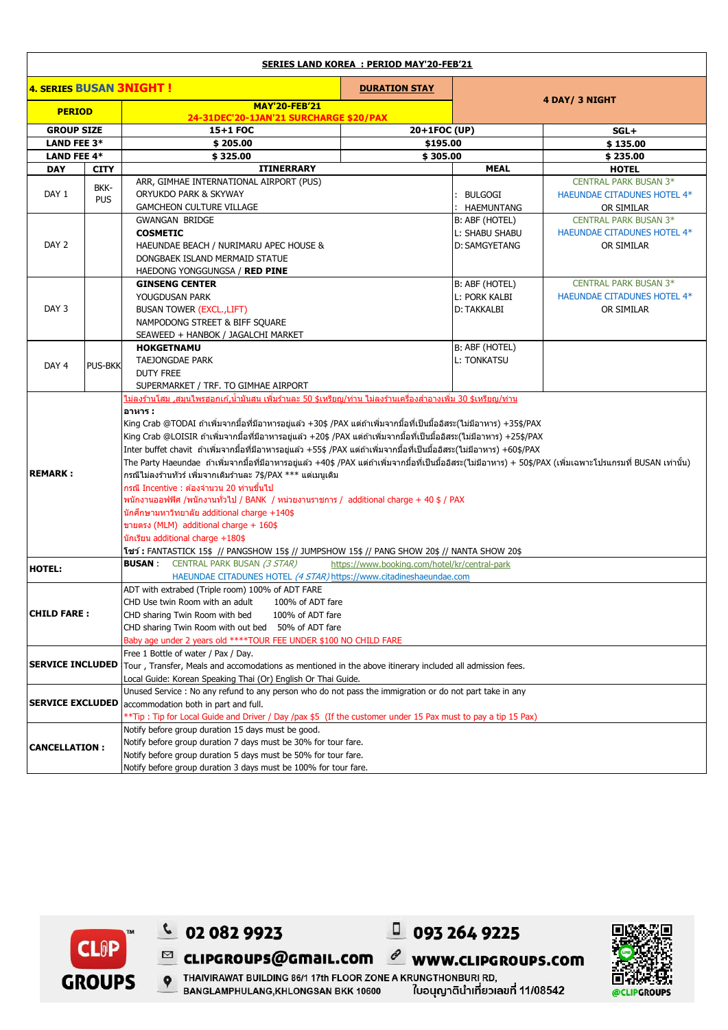| <b>SERIES LAND KOREA : PERIOD MAY'20-FEB'21</b> |                    |                                                                                                                                                                  |                      |                      |                                    |  |  |
|-------------------------------------------------|--------------------|------------------------------------------------------------------------------------------------------------------------------------------------------------------|----------------------|----------------------|------------------------------------|--|--|
| <b>4. SERIES BUSAN 3NIGHT!</b>                  |                    |                                                                                                                                                                  | <b>DURATION STAY</b> |                      |                                    |  |  |
|                                                 |                    | <b>MAY'20-FEB'21</b>                                                                                                                                             |                      | 4 DAY/ 3 NIGHT       |                                    |  |  |
| <b>PERIOD</b>                                   |                    | 24-31DEC'20-1JAN'21 SURCHARGE \$20/PAX                                                                                                                           |                      |                      |                                    |  |  |
| <b>GROUP SIZE</b>                               |                    | 15+1 FOC                                                                                                                                                         | 20+1FOC (UP)         |                      | $SGL+$                             |  |  |
| LAND FEE 3*                                     |                    | \$205.00                                                                                                                                                         | \$195.00             |                      | \$135.00                           |  |  |
| <b>LAND FEE 4*</b>                              |                    | \$325.00                                                                                                                                                         | \$305.00             | \$235.00             |                                    |  |  |
| <b>DAY</b>                                      | <b>CITY</b>        | <b>ITINERRARY</b>                                                                                                                                                | <b>MEAL</b>          | <b>HOTEL</b>         |                                    |  |  |
|                                                 | BKK-<br><b>PUS</b> | ARR, GIMHAE INTERNATIONAL AIRPORT (PUS)                                                                                                                          |                      |                      | <b>CENTRAL PARK BUSAN 3*</b>       |  |  |
| DAY 1                                           |                    | ORYUKDO PARK & SKYWAY                                                                                                                                            |                      | <b>BULGOGI</b>       | HAEUNDAE CITADUNES HOTEL 4*        |  |  |
|                                                 |                    | <b>GAMCHEON CULTURE VILLAGE</b>                                                                                                                                  |                      | : HAEMUNTANG         | OR SIMILAR                         |  |  |
|                                                 |                    | <b>GWANGAN BRIDGE</b>                                                                                                                                            |                      | B: ABF (HOTEL)       | <b>CENTRAL PARK BUSAN 3*</b>       |  |  |
|                                                 |                    | <b>COSMETIC</b>                                                                                                                                                  |                      | L: SHABU SHABU       | HAEUNDAE CITADUNES HOTEL 4*        |  |  |
| DAY <sub>2</sub>                                |                    | HAEUNDAE BEACH / NURIMARU APEC HOUSE &                                                                                                                           |                      | <b>D: SAMGYETANG</b> | OR SIMILAR                         |  |  |
|                                                 |                    | DONGBAEK ISLAND MERMAID STATUE                                                                                                                                   |                      |                      |                                    |  |  |
|                                                 |                    | HAEDONG YONGGUNGSA / RED PINE                                                                                                                                    |                      |                      |                                    |  |  |
|                                                 |                    | <b>GINSENG CENTER</b>                                                                                                                                            |                      | B: ABF (HOTEL)       | <b>CENTRAL PARK BUSAN 3*</b>       |  |  |
|                                                 |                    | YOUGDUSAN PARK                                                                                                                                                   |                      | <b>L: PORK KALBI</b> | <b>HAEUNDAE CITADUNES HOTEL 4*</b> |  |  |
| DAY 3                                           |                    | <b>BUSAN TOWER (EXCL., LIFT)</b>                                                                                                                                 |                      | D: TAKKALBI          | OR SIMILAR                         |  |  |
|                                                 |                    | NAMPODONG STREET & BIFF SQUARE                                                                                                                                   |                      |                      |                                    |  |  |
|                                                 |                    | SEAWEED + HANBOK / JAGALCHI MARKET                                                                                                                               |                      |                      |                                    |  |  |
|                                                 |                    | <b>HOKGETNAMU</b>                                                                                                                                                |                      | B: ABF (HOTEL)       |                                    |  |  |
| DAY <sub>4</sub>                                | <b>PUS-BKK</b>     | <b>TAEJONGDAE PARK</b>                                                                                                                                           |                      | <b>L: TONKATSU</b>   |                                    |  |  |
|                                                 |                    | <b>DUTY FREE</b>                                                                                                                                                 |                      |                      |                                    |  |  |
|                                                 |                    | SUPERMARKET / TRF. TO GIMHAE AIRPORT<br><u>ไม่ลงร้านโสม ,สมนไพรฮอกเก้,น้ำมันสน เพิ่มร้านละ 50 \$เหรียญ/ท่าน ไม่ลงร้านเครื่องสำอางเพิ่ม 30 \$เหรียญ/ท่าน</u>      |                      |                      |                                    |  |  |
|                                                 |                    |                                                                                                                                                                  |                      |                      |                                    |  |  |
|                                                 |                    | อาหาร :<br> King Crab @TODAI ถ้าเพิ่มจากมื้อที่มีอาหารอยู่แล้ว +30\$ /PAX แต่ถ้าเพิ่มจากมื้อที่เป็นมื้ออิสระ(ไม่มีอาหาร) +35\$/PAX                               |                      |                      |                                    |  |  |
|                                                 |                    | King Crab @LOISIR ถ้าเพิ่มจากมื้อที่มีอาหารอยู่แล้ว +20\$ /PAX แต่ถ้าเพิ่มจากมื้อที่เป็นมื้ออิสระ(ไม่มีอาหาร) +25\$/PAX                                          |                      |                      |                                    |  |  |
|                                                 |                    | Inter buffet chavit  ถ้าเพิ่มจากมื้อที่มีอาหารอยู่แล้ว +55\$ /PAX แต่ถ้าเพิ่มจากมื้อที่เป็นมื้ออิสระ(ไม่มีอาหาร) +60\$/PAX                                       |                      |                      |                                    |  |  |
|                                                 |                    | The Party Haeundae  ถ้าเพิ่มจากมื้อที่มีอาหารอยู่แล้ว +40\$ /PAX แต่ถ้าเพิ่มจากมื้อที่เป็นมื้ออิสระ(ไม่มีอาหาร) + 50\$/PAX (เพิ่มเฉพาะโปรแกรมที่ BUSAN เท่านั้น) |                      |                      |                                    |  |  |
| <b>REMARK:</b>                                  |                    | กรณีไม่ลงร้านทัวร์ เพิ่มจากเดิมร้านละ 7\$/PAX *** แต่เมนูเดิม                                                                                                    |                      |                      |                                    |  |  |
|                                                 |                    | ุกรณี Incentive : ต้องจำนวน 20 ท่านขึ้นไป                                                                                                                        |                      |                      |                                    |  |  |
|                                                 |                    | พนักงานออฟฟิศ /พนักงานทั่วไป / BANK / หน่วยงานราชการ / additional charge + 40 \$ / PAX                                                                           |                      |                      |                                    |  |  |
|                                                 |                    | นักศึกษามหาวิทยาลัย additional charge $+140$ \$                                                                                                                  |                      |                      |                                    |  |  |
|                                                 |                    | ขายตรง (MLM) additional charge + 160\$                                                                                                                           |                      |                      |                                    |  |  |
|                                                 |                    | นักเรียน additional charge +180\$                                                                                                                                |                      |                      |                                    |  |  |
|                                                 |                    | โชว์: FANTASTICK 15\$ // PANGSHOW 15\$ // JUMPSHOW 15\$ // PANG SHOW 20\$ // NANTA SHOW 20\$                                                                     |                      |                      |                                    |  |  |
| <b>HOTEL:</b>                                   |                    | <b>BUSAN:</b> CENTRAL PARK BUSAN (3 STAR)<br>https://www.booking.com/hotel/kr/central-park                                                                       |                      |                      |                                    |  |  |
|                                                 |                    | HAEUNDAE CITADUNES HOTEL (4 STAR) https://www.citadineshaeundae.com                                                                                              |                      |                      |                                    |  |  |
|                                                 |                    | ADT with extrabed (Triple room) 100% of ADT FARE                                                                                                                 |                      |                      |                                    |  |  |
|                                                 |                    | CHD Use twin Room with an adult<br>100% of ADT fare                                                                                                              |                      |                      |                                    |  |  |
| <b>CHILD FARE :</b>                             |                    | CHD sharing Twin Room with bed<br>100% of ADT fare                                                                                                               |                      |                      |                                    |  |  |
|                                                 |                    | CHD sharing Twin Room with out bed<br>50% of ADT fare                                                                                                            |                      |                      |                                    |  |  |
|                                                 |                    | Baby age under 2 years old **** TOUR FEE UNDER \$100 NO CHILD FARE                                                                                               |                      |                      |                                    |  |  |
| <b>SERVICE INCLUDED</b>                         |                    | Free 1 Bottle of water / Pax / Day.                                                                                                                              |                      |                      |                                    |  |  |
|                                                 |                    | Tour, Transfer, Meals and accomodations as mentioned in the above itinerary included all admission fees.                                                         |                      |                      |                                    |  |  |
|                                                 |                    | Local Guide: Korean Speaking Thai (Or) English Or Thai Guide.                                                                                                    |                      |                      |                                    |  |  |
|                                                 |                    | Unused Service : No any refund to any person who do not pass the immigration or do not part take in any                                                          |                      |                      |                                    |  |  |
| <b>SERVICE EXCLUDED</b>                         |                    | accommodation both in part and full.                                                                                                                             |                      |                      |                                    |  |  |
|                                                 |                    | ** Tip: Tip for Local Guide and Driver / Day /pax \$5 (If the customer under 15 Pax must to pay a tip 15 Pax)                                                    |                      |                      |                                    |  |  |
|                                                 |                    | Notify before group duration 15 days must be good.                                                                                                               |                      |                      |                                    |  |  |
| <b>CANCELLATION:</b>                            |                    | Notify before group duration 7 days must be 30% for tour fare.                                                                                                   |                      |                      |                                    |  |  |
|                                                 |                    | Notify before group duration 5 days must be 50% for tour fare.                                                                                                   |                      |                      |                                    |  |  |
|                                                 |                    | Notify before group duration 3 days must be 100% for tour fare.                                                                                                  |                      |                      |                                    |  |  |